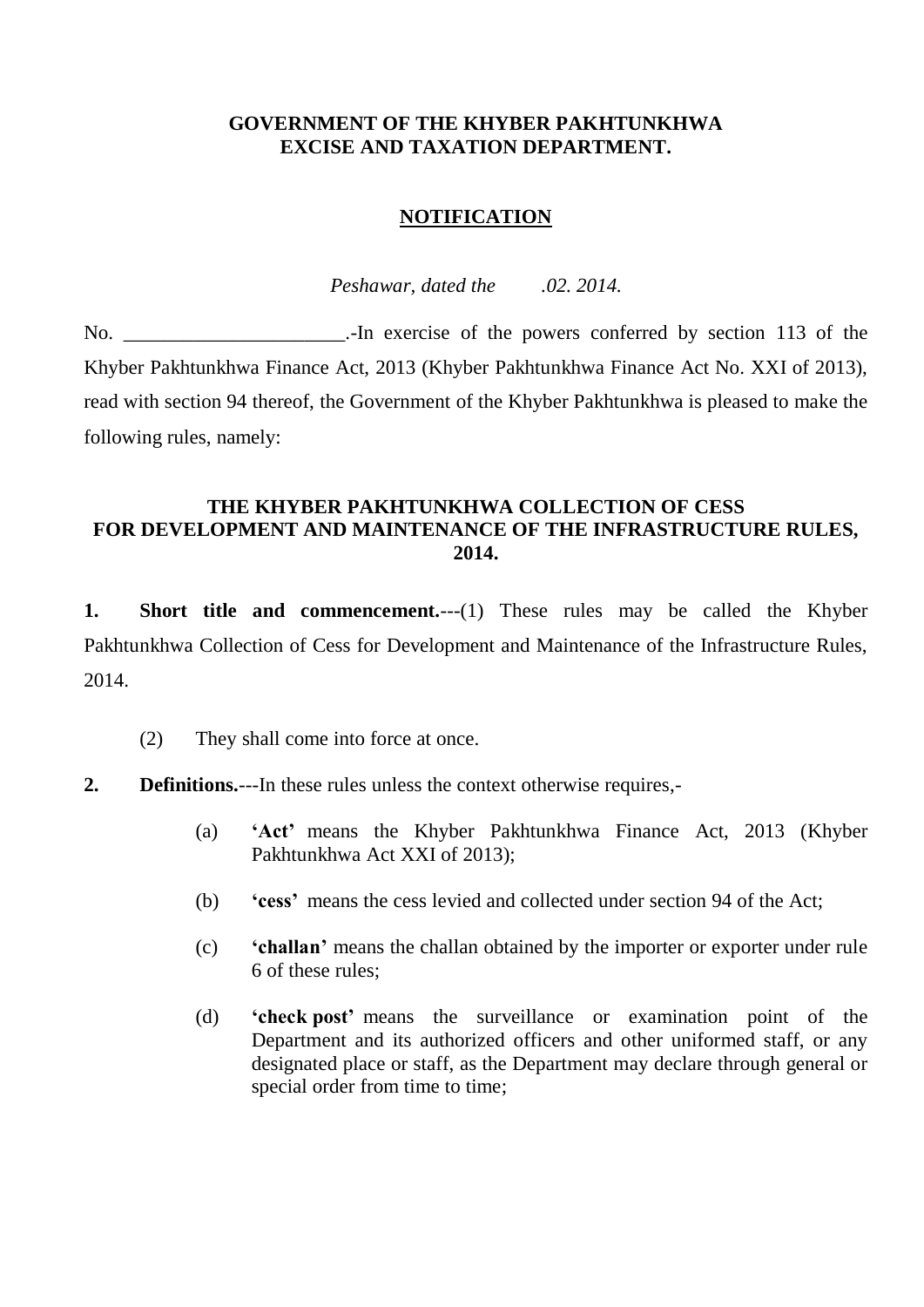## **GOVERNMENT OF THE KHYBER PAKHTUNKHWA EXCISE AND TAXATION DEPARTMENT.**

# **NOTIFICATION**

*Peshawar, dated the .02. 2014.*

No. So also interest in exercise of the powers conferred by section 113 of the powers conferred by section 113 of the Khyber Pakhtunkhwa Finance Act, 2013 (Khyber Pakhtunkhwa Finance Act No. XXI of 2013), read with section 94 thereof, the Government of the Khyber Pakhtunkhwa is pleased to make the following rules, namely:

## **THE KHYBER PAKHTUNKHWA COLLECTION OF CESS FOR DEVELOPMENT AND MAINTENANCE OF THE INFRASTRUCTURE RULES, 2014.**

**1. Short title and commencement.**---(1) These rules may be called the Khyber Pakhtunkhwa Collection of Cess for Development and Maintenance of the Infrastructure Rules, 2014.

(2) They shall come into force at once.

## **2. Definitions.**---In these rules unless the context otherwise requires,-

- (a) **'Act'** means the Khyber Pakhtunkhwa Finance Act, 2013 (Khyber Pakhtunkhwa Act XXI of 2013);
- (b) **'cess'** means the cess levied and collected under section 94 of the Act;
- (c) **'challan'** means the challan obtained by the importer or exporter under rule 6 of these rules;
- (d) **'check post'** means the surveillance or examination point of the Department and its authorized officers and other uniformed staff, or any designated place or staff, as the Department may declare through general or special order from time to time;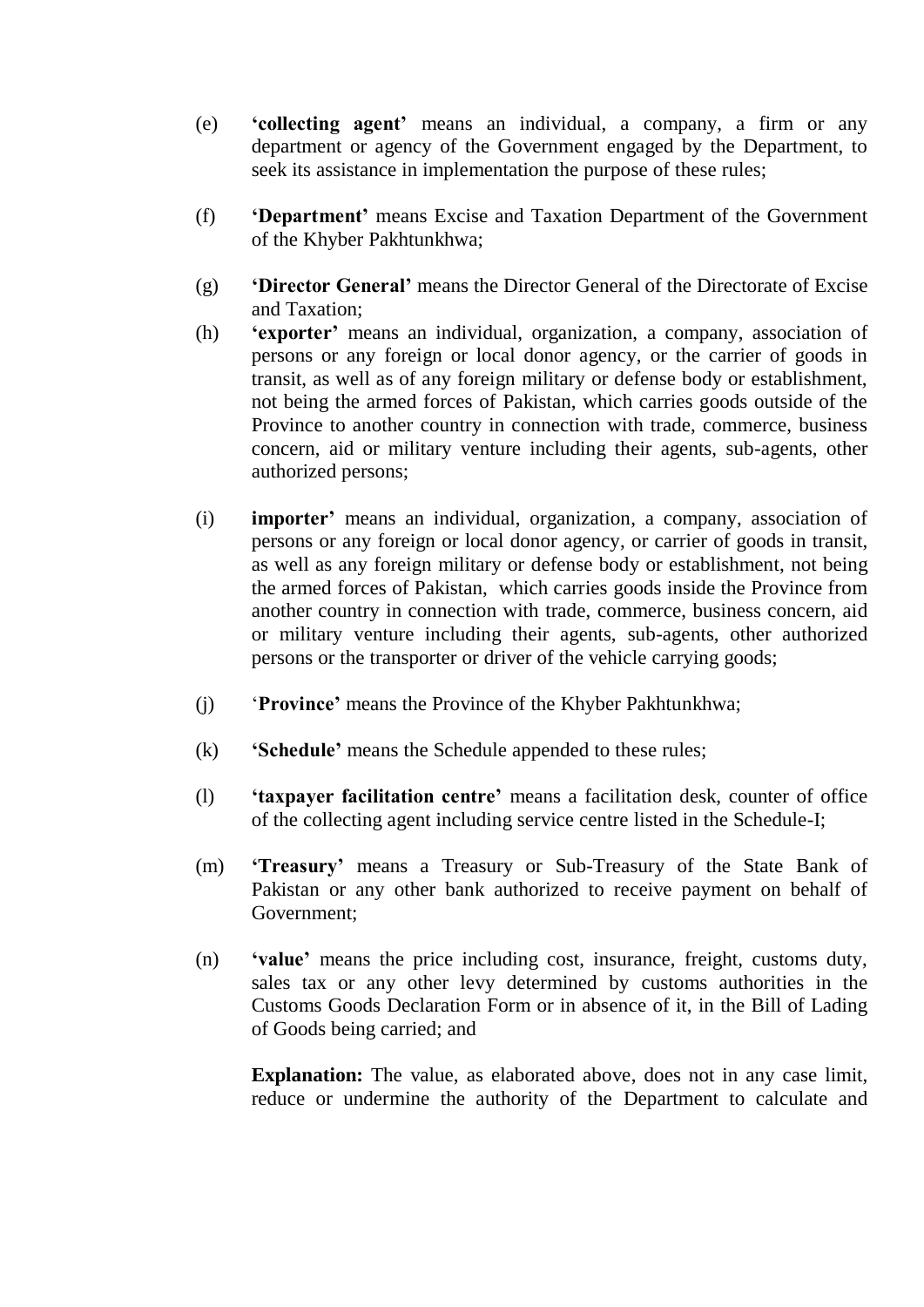- (e) **'collecting agent'** means an individual, a company, a firm or any department or agency of the Government engaged by the Department, to seek its assistance in implementation the purpose of these rules;
- (f) **'Department'** means Excise and Taxation Department of the Government of the Khyber Pakhtunkhwa;
- (g) **'Director General'** means the Director General of the Directorate of Excise and Taxation;
- (h) **'exporter'** means an individual, organization, a company, association of persons or any foreign or local donor agency, or the carrier of goods in transit, as well as of any foreign military or defense body or establishment, not being the armed forces of Pakistan, which carries goods outside of the Province to another country in connection with trade, commerce, business concern, aid or military venture including their agents, sub-agents, other authorized persons;
- (i) **importer'** means an individual, organization, a company, association of persons or any foreign or local donor agency, or carrier of goods in transit, as well as any foreign military or defense body or establishment, not being the armed forces of Pakistan, which carries goods inside the Province from another country in connection with trade, commerce, business concern, aid or military venture including their agents, sub-agents, other authorized persons or the transporter or driver of the vehicle carrying goods;
- (j) '**Province'** means the Province of the Khyber Pakhtunkhwa;
- (k) **'Schedule'** means the Schedule appended to these rules;
- (l) **'taxpayer facilitation centre'** means a facilitation desk, counter of office of the collecting agent including service centre listed in the Schedule-I;
- (m) **'Treasury'** means a Treasury or Sub-Treasury of the State Bank of Pakistan or any other bank authorized to receive payment on behalf of Government;
- (n) **'value'** means the price including cost, insurance, freight, customs duty, sales tax or any other levy determined by customs authorities in the Customs Goods Declaration Form or in absence of it, in the Bill of Lading of Goods being carried; and

**Explanation:** The value, as elaborated above, does not in any case limit, reduce or undermine the authority of the Department to calculate and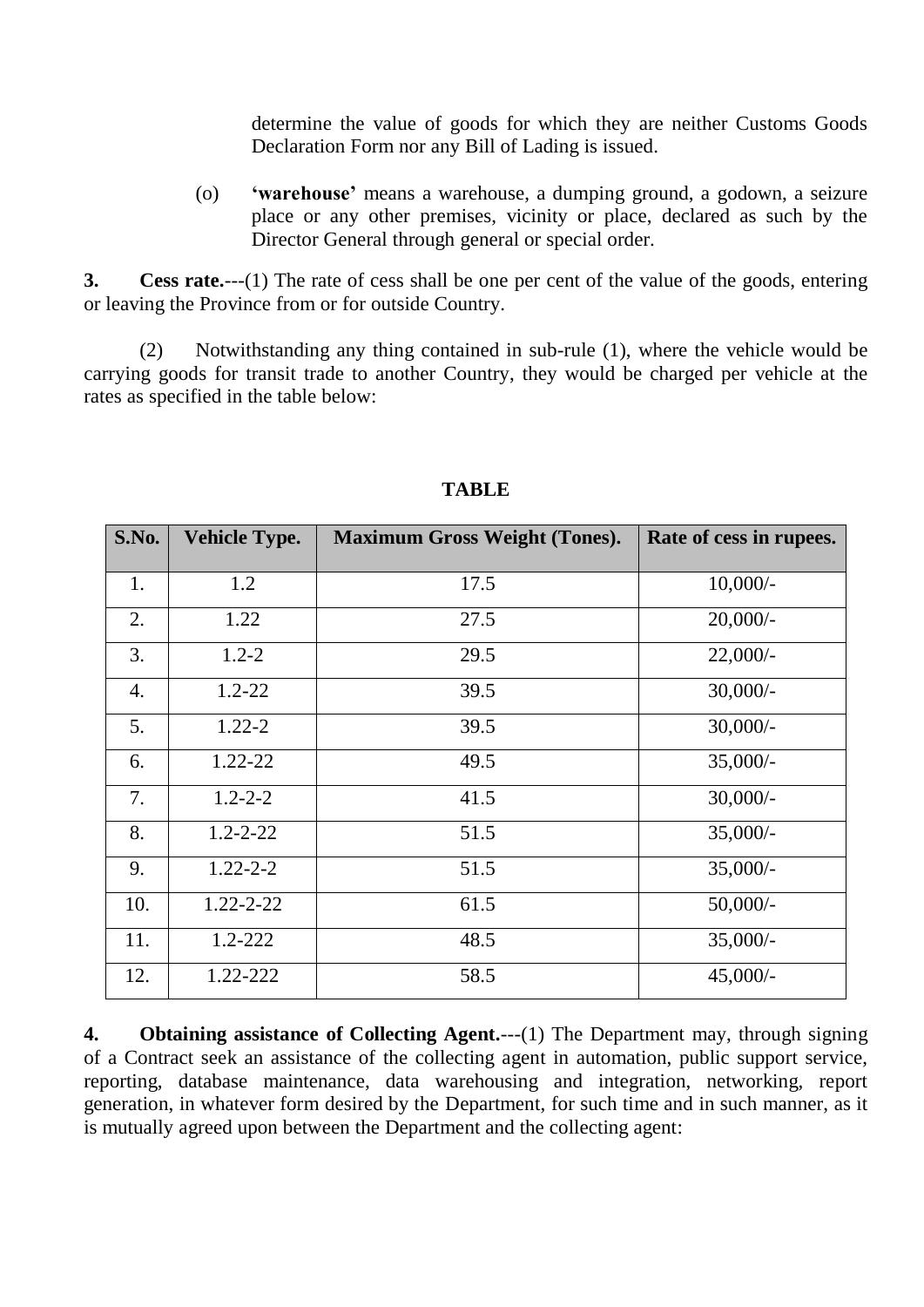determine the value of goods for which they are neither Customs Goods Declaration Form nor any Bill of Lading is issued.

(o) **'warehouse'** means a warehouse, a dumping ground, a godown, a seizure place or any other premises, vicinity or place, declared as such by the Director General through general or special order.

**3. Cess rate.**---(1) The rate of cess shall be one per cent of the value of the goods, entering or leaving the Province from or for outside Country.

(2) Notwithstanding any thing contained in sub-rule (1), where the vehicle would be carrying goods for transit trade to another Country, they would be charged per vehicle at the rates as specified in the table below:

| S.No.            | <b>Vehicle Type.</b> | <b>Maximum Gross Weight (Tones).</b> | Rate of cess in rupees. |
|------------------|----------------------|--------------------------------------|-------------------------|
|                  |                      |                                      |                         |
| 1.               | 1.2                  | 17.5                                 | $10,000/-$              |
| 2.               | 1.22                 | 27.5                                 | $20,000/-$              |
| 3.               | $1.2 - 2$            | 29.5                                 | $22,000/-$              |
| $\overline{4}$ . | $1.2 - 22$           | 39.5                                 | $30,000/-$              |
| 5.               | $1.22 - 2$           | 39.5                                 | $30,000/-$              |
| 6.               | $1.22 - 22$          | 49.5                                 | $35,000/-$              |
| 7.               | $1.2 - 2 - 2$        | 41.5                                 | $30,000/-$              |
| 8.               | $1.2 - 2 - 22$       | 51.5                                 | $35,000/-$              |
| 9.               | $1.22 - 2 - 2$       | 51.5                                 | $35,000/-$              |
| 10.              | $1.22 - 2 - 22$      | 61.5                                 | $50,000/-$              |
| 11.              | $1.2 - 222$          | 48.5                                 | $35,000/-$              |
| 12.              | 1.22-222             | 58.5                                 | $45,000/-$              |

## **TABLE**

**4. Obtaining assistance of Collecting Agent.**---(1) The Department may, through signing of a Contract seek an assistance of the collecting agent in automation, public support service, reporting, database maintenance, data warehousing and integration, networking, report generation, in whatever form desired by the Department, for such time and in such manner, as it is mutually agreed upon between the Department and the collecting agent: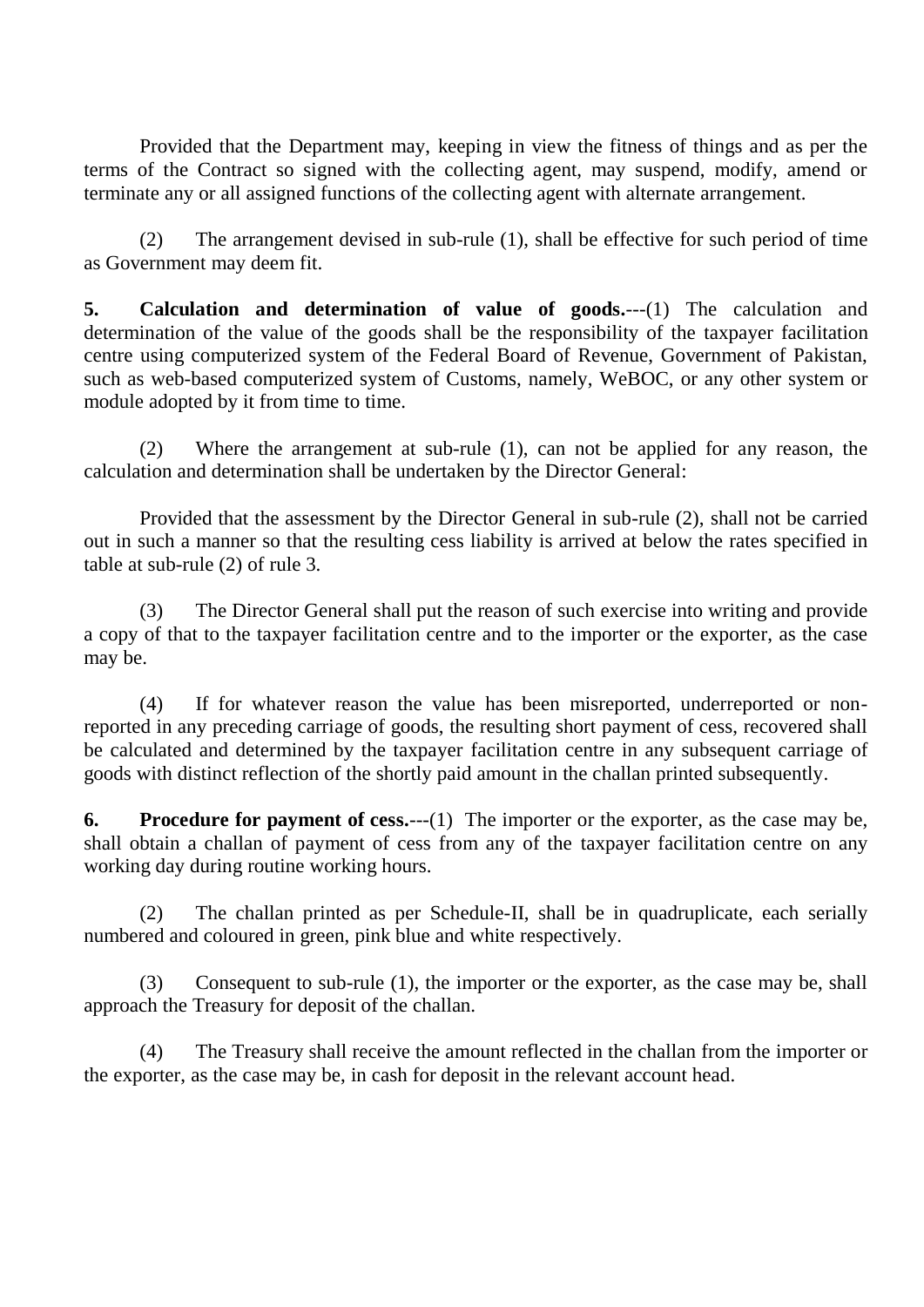Provided that the Department may, keeping in view the fitness of things and as per the terms of the Contract so signed with the collecting agent, may suspend, modify, amend or terminate any or all assigned functions of the collecting agent with alternate arrangement.

(2) The arrangement devised in sub-rule (1), shall be effective for such period of time as Government may deem fit.

**5. Calculation and determination of value of goods.**---(1) The calculation and determination of the value of the goods shall be the responsibility of the taxpayer facilitation centre using computerized system of the Federal Board of Revenue, Government of Pakistan, such as web-based computerized system of Customs, namely, WeBOC, or any other system or module adopted by it from time to time.

(2) Where the arrangement at sub-rule (1), can not be applied for any reason, the calculation and determination shall be undertaken by the Director General:

Provided that the assessment by the Director General in sub-rule (2), shall not be carried out in such a manner so that the resulting cess liability is arrived at below the rates specified in table at sub-rule (2) of rule 3.

(3) The Director General shall put the reason of such exercise into writing and provide a copy of that to the taxpayer facilitation centre and to the importer or the exporter, as the case may be.

(4) If for whatever reason the value has been misreported, underreported or nonreported in any preceding carriage of goods, the resulting short payment of cess, recovered shall be calculated and determined by the taxpayer facilitation centre in any subsequent carriage of goods with distinct reflection of the shortly paid amount in the challan printed subsequently.

**6. Procedure for payment of cess.**---(1) The importer or the exporter, as the case may be, shall obtain a challan of payment of cess from any of the taxpayer facilitation centre on any working day during routine working hours.

(2) The challan printed as per Schedule-II, shall be in quadruplicate, each serially numbered and coloured in green, pink blue and white respectively.

(3) Consequent to sub-rule (1), the importer or the exporter, as the case may be, shall approach the Treasury for deposit of the challan.

(4) The Treasury shall receive the amount reflected in the challan from the importer or the exporter, as the case may be, in cash for deposit in the relevant account head.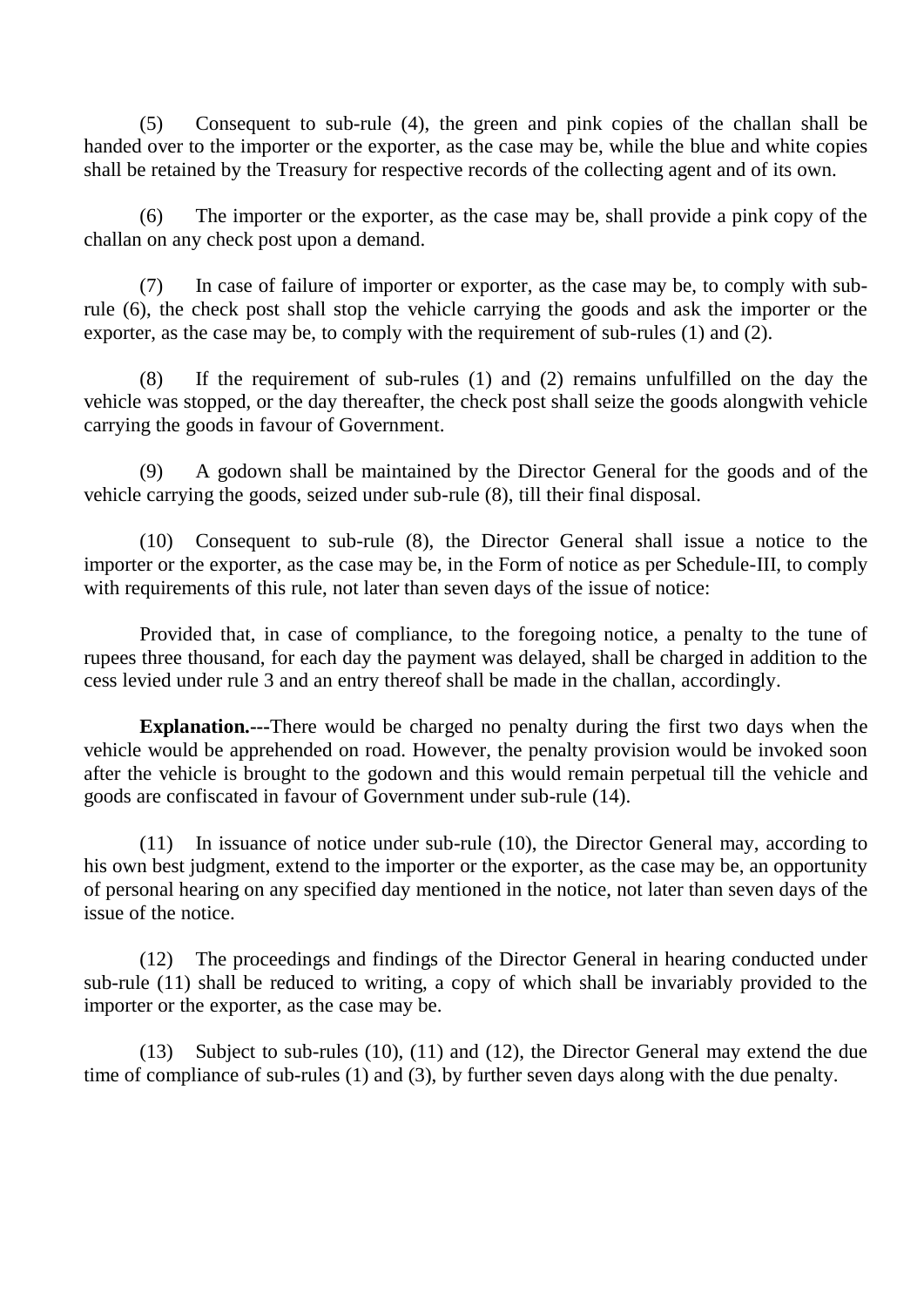(5) Consequent to sub-rule (4), the green and pink copies of the challan shall be handed over to the importer or the exporter, as the case may be, while the blue and white copies shall be retained by the Treasury for respective records of the collecting agent and of its own.

(6) The importer or the exporter, as the case may be, shall provide a pink copy of the challan on any check post upon a demand.

(7) In case of failure of importer or exporter, as the case may be, to comply with subrule (6), the check post shall stop the vehicle carrying the goods and ask the importer or the exporter, as the case may be, to comply with the requirement of sub-rules (1) and (2).

(8) If the requirement of sub-rules (1) and (2) remains unfulfilled on the day the vehicle was stopped, or the day thereafter, the check post shall seize the goods alongwith vehicle carrying the goods in favour of Government.

(9) A godown shall be maintained by the Director General for the goods and of the vehicle carrying the goods, seized under sub-rule (8), till their final disposal.

(10) Consequent to sub-rule (8), the Director General shall issue a notice to the importer or the exporter, as the case may be, in the Form of notice as per Schedule-III, to comply with requirements of this rule, not later than seven days of the issue of notice:

Provided that, in case of compliance, to the foregoing notice, a penalty to the tune of rupees three thousand, for each day the payment was delayed, shall be charged in addition to the cess levied under rule 3 and an entry thereof shall be made in the challan, accordingly.

**Explanation.---**There would be charged no penalty during the first two days when the vehicle would be apprehended on road. However, the penalty provision would be invoked soon after the vehicle is brought to the godown and this would remain perpetual till the vehicle and goods are confiscated in favour of Government under sub-rule (14).

(11) In issuance of notice under sub-rule (10), the Director General may, according to his own best judgment, extend to the importer or the exporter, as the case may be, an opportunity of personal hearing on any specified day mentioned in the notice, not later than seven days of the issue of the notice.

(12) The proceedings and findings of the Director General in hearing conducted under sub-rule (11) shall be reduced to writing, a copy of which shall be invariably provided to the importer or the exporter, as the case may be.

(13) Subject to sub-rules (10), (11) and (12), the Director General may extend the due time of compliance of sub-rules (1) and (3), by further seven days along with the due penalty.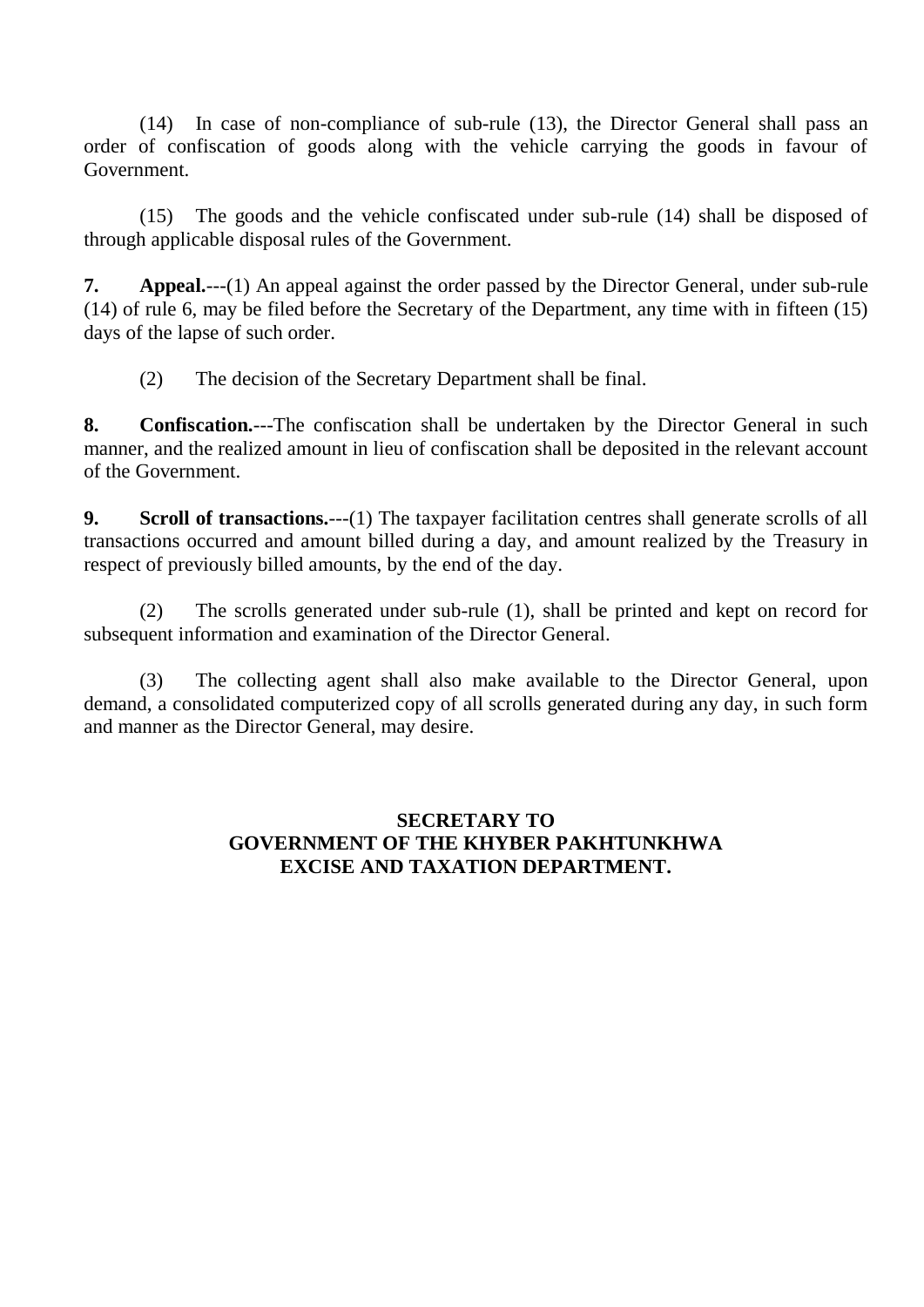(14) In case of non-compliance of sub-rule (13), the Director General shall pass an order of confiscation of goods along with the vehicle carrying the goods in favour of Government.

(15) The goods and the vehicle confiscated under sub-rule (14) shall be disposed of through applicable disposal rules of the Government.

**7. Appeal.**---(1) An appeal against the order passed by the Director General, under sub-rule (14) of rule 6, may be filed before the Secretary of the Department, any time with in fifteen (15) days of the lapse of such order.

(2) The decision of the Secretary Department shall be final.

**8. Confiscation.**---The confiscation shall be undertaken by the Director General in such manner, and the realized amount in lieu of confiscation shall be deposited in the relevant account of the Government.

**9. Scroll of transactions.**---(1) The taxpayer facilitation centres shall generate scrolls of all transactions occurred and amount billed during a day, and amount realized by the Treasury in respect of previously billed amounts, by the end of the day.

(2) The scrolls generated under sub-rule (1), shall be printed and kept on record for subsequent information and examination of the Director General.

(3) The collecting agent shall also make available to the Director General, upon demand, a consolidated computerized copy of all scrolls generated during any day, in such form and manner as the Director General, may desire.

### **SECRETARY TO GOVERNMENT OF THE KHYBER PAKHTUNKHWA EXCISE AND TAXATION DEPARTMENT.**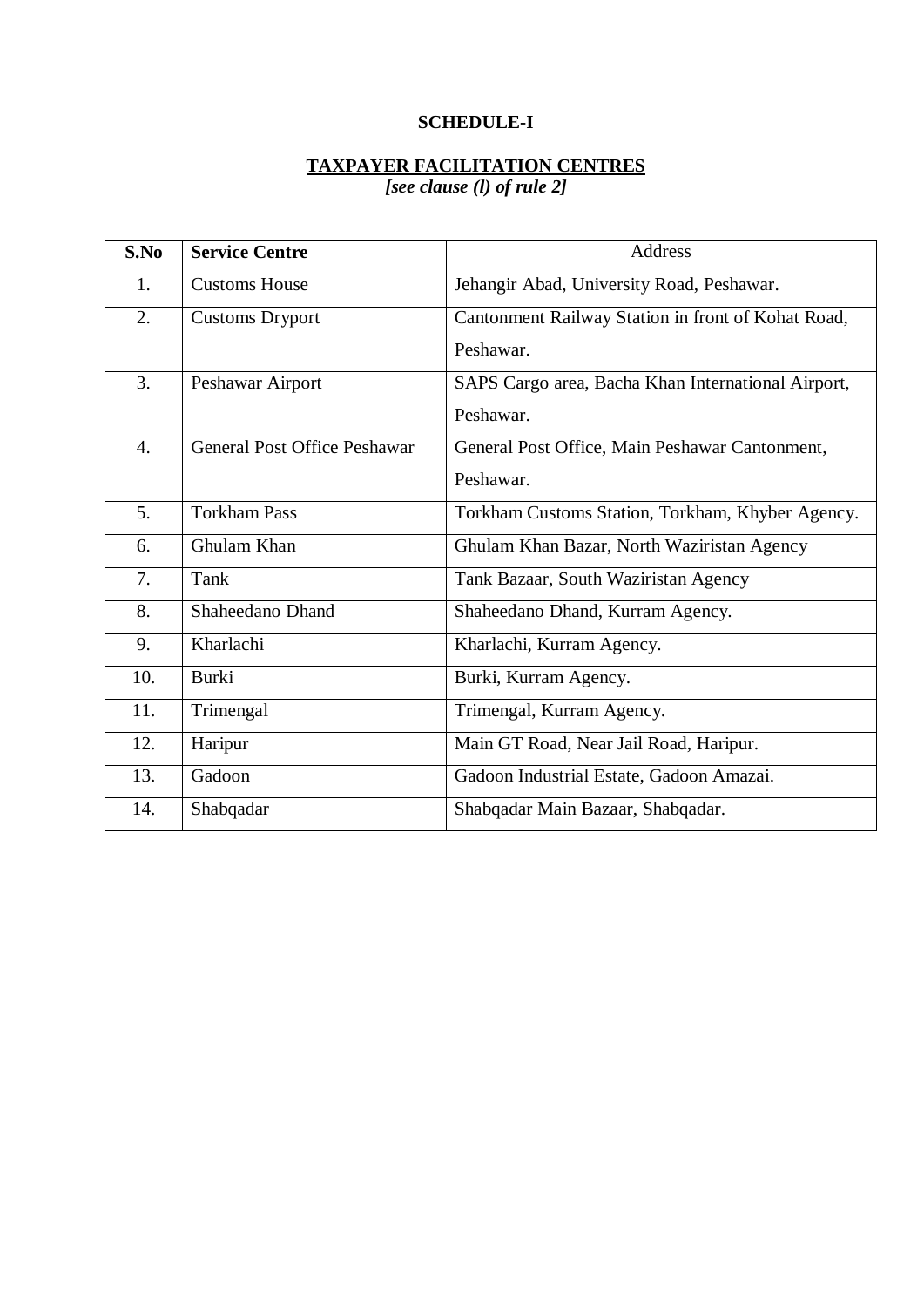### **SCHEDULE-I**

# **TAXPAYER FACILITATION CENTRES**

*[see clause (l) of rule 2]* 

| S.No             | <b>Service Centre</b>               | Address                                            |
|------------------|-------------------------------------|----------------------------------------------------|
| 1.               | <b>Customs House</b>                | Jehangir Abad, University Road, Peshawar.          |
| 2.               | <b>Customs Dryport</b>              | Cantonment Railway Station in front of Kohat Road, |
|                  |                                     | Peshawar.                                          |
| 3.               | Peshawar Airport                    | SAPS Cargo area, Bacha Khan International Airport, |
|                  |                                     | Peshawar.                                          |
| $\overline{4}$ . | <b>General Post Office Peshawar</b> | General Post Office, Main Peshawar Cantonment,     |
|                  |                                     | Peshawar.                                          |
| 5.               | <b>Torkham Pass</b>                 | Torkham Customs Station, Torkham, Khyber Agency.   |
| 6.               | Ghulam Khan                         | Ghulam Khan Bazar, North Waziristan Agency         |
| 7.               | Tank                                | Tank Bazaar, South Waziristan Agency               |
| 8.               | Shaheedano Dhand                    | Shaheedano Dhand, Kurram Agency.                   |
| 9.               | Kharlachi                           | Kharlachi, Kurram Agency.                          |
| 10.              | <b>Burki</b>                        | Burki, Kurram Agency.                              |
| 11.              | Trimengal                           | Trimengal, Kurram Agency.                          |
| 12.              | Haripur                             | Main GT Road, Near Jail Road, Haripur.             |
| 13.              | Gadoon                              | Gadoon Industrial Estate, Gadoon Amazai.           |
| 14.              | Shabqadar                           | Shabqadar Main Bazaar, Shabqadar.                  |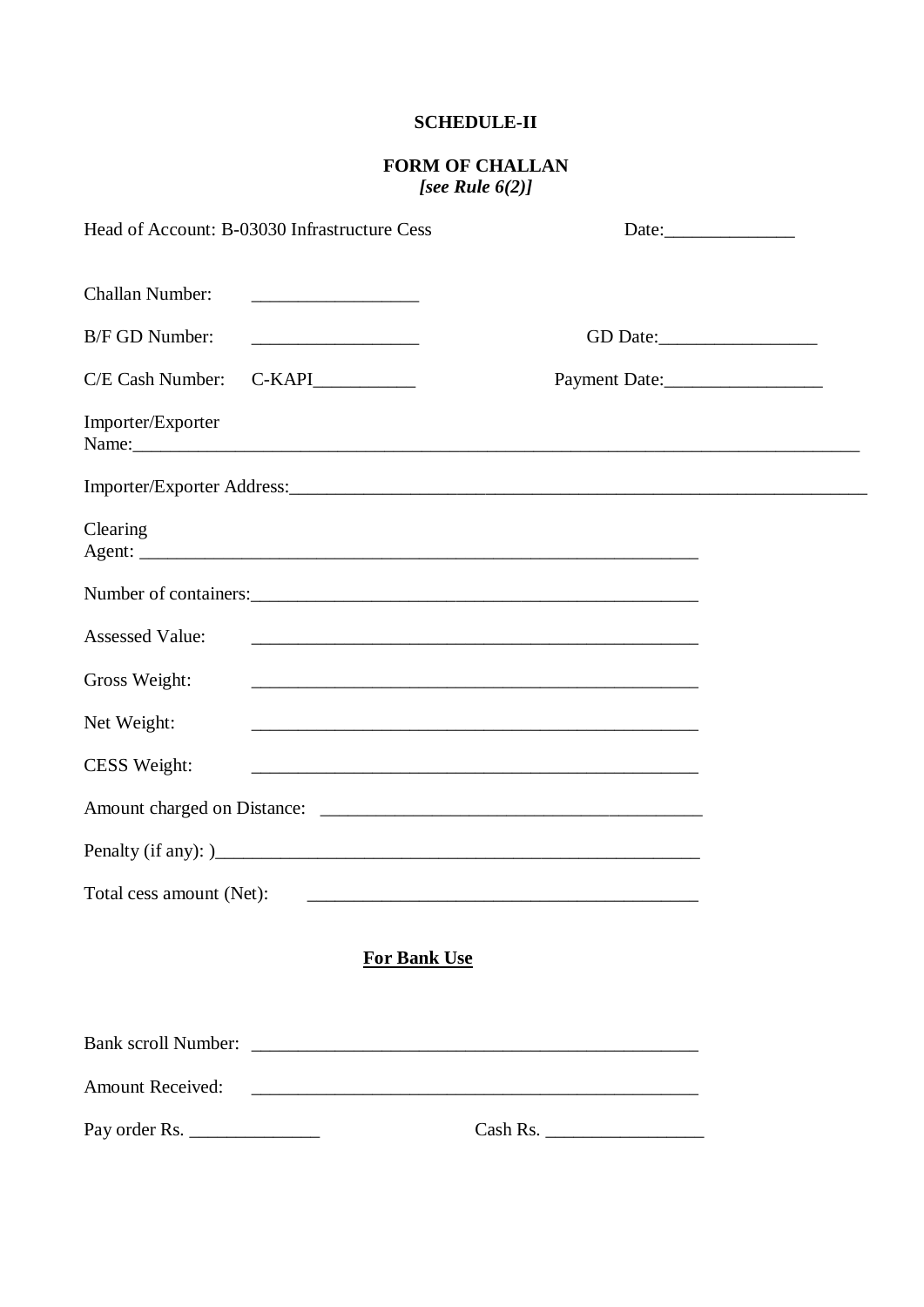#### **SCHEDULE-II**

# **FORM OF CHALLAN** [see Rule  $6(2)$ ]

| Head of Account: B-03030 Infrastructure Cess |                                                            | Date: $\qquad \qquad$                                                                                                  |  |
|----------------------------------------------|------------------------------------------------------------|------------------------------------------------------------------------------------------------------------------------|--|
| <b>Challan Number:</b>                       |                                                            |                                                                                                                        |  |
| B/F GD Number:                               |                                                            |                                                                                                                        |  |
| C/E Cash Number:                             | $C-KAPI$                                                   | Payment Date:                                                                                                          |  |
| Importer/Exporter                            |                                                            |                                                                                                                        |  |
|                                              |                                                            |                                                                                                                        |  |
| Clearing                                     |                                                            |                                                                                                                        |  |
|                                              |                                                            |                                                                                                                        |  |
| <b>Assessed Value:</b>                       | <u> 1989 - Johann Barn, amerikansk politiker (d. 1989)</u> |                                                                                                                        |  |
| Gross Weight:                                |                                                            |                                                                                                                        |  |
| Net Weight:                                  |                                                            | and the control of the control of the control of the control of the control of the control of the control of the       |  |
| CESS Weight:                                 |                                                            | <u> 1980 - Johann Barn, mars ann an t-Amhain ann an t-Amhain an t-Amhain an t-Amhain an t-Amhain an t-Amhain an t-</u> |  |
|                                              |                                                            |                                                                                                                        |  |
|                                              |                                                            |                                                                                                                        |  |
| Total cess amount (Net):                     |                                                            |                                                                                                                        |  |
|                                              | <b>For Bank Use</b>                                        |                                                                                                                        |  |
|                                              |                                                            |                                                                                                                        |  |
| <b>Amount Received:</b>                      |                                                            |                                                                                                                        |  |
| Pay order Rs.                                |                                                            | Cash Rs.                                                                                                               |  |